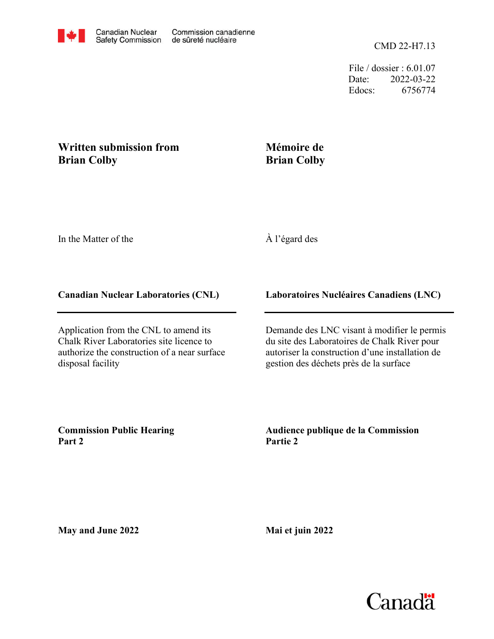File / dossier : 6.01.07 Date: 2022-03-22 Edocs: 6756774

## **Written submission from Brian Colby**

## **Mémoire de Brian Colby**

In the Matter of the

## À l'égard des

## **Canadian Nuclear Laboratories (CNL)**

Application from the CNL to amend its Chalk River Laboratories site licence to authorize the construction of a near surface disposal facility

**Laboratoires Nucléaires Canadiens (LNC)**

Demande des LNC visant à modifier le permis du site des Laboratoires de Chalk River pour autoriser la construction d'une installation de gestion des déchets près de la surface

**Commission Public Hearing Part 2**

**Audience publique de la Commission Partie 2**

**May and June 2022**

**Mai et juin 2022**